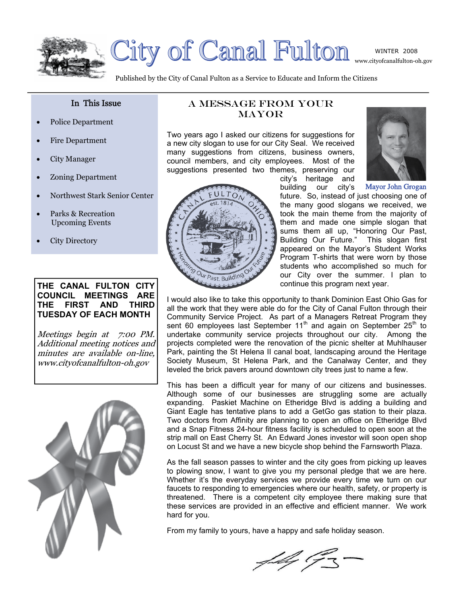



City of Canal Fulton

Published by the City of Canal Fulton as a Service to Educate and Inform the Citizens

### In This Issue

- Police Department
- Fire Department
- City Manager
- Zoning Department
- Northwest Stark Senior Center
- Parks & Recreation Upcoming Events
- City Directory

### **THE CANAL FULTON CITY COUNCIL MEETINGS ARE THE FIRST AND THIRD TUESDAY OF EACH MONTH**

Meetings begin at 7:00 PM. Additional meeting notices and minutes are available on-line, www.cityofcanalfulton-oh.gov



### A Message from Your **MAYOR**

Two years ago I asked our citizens for suggestions for a new city slogan to use for our City Seal. We received many suggestions from citizens, business owners, council members, and city employees. Most of the suggestions presented two themes, preserving our





Mayor John Grogan



building our city's future. So, instead of just choosing one of the many good slogans we received, we took the main theme from the majority of them and made one simple slogan that sums them all up, "Honoring Our Past, Building Our Future." This slogan first appeared on the Mayor's Student Works Program T-shirts that were worn by those students who accomplished so much for our City over the summer. I plan to continue this program next year.

I would also like to take this opportunity to thank Dominion East Ohio Gas for all the work that they were able do for the City of Canal Fulton through their Community Service Project. As part of a Managers Retreat Program they sent 60 employees last September 11<sup>th</sup> and again on September 25<sup>th</sup> to undertake community service projects throughout our city. Among the projects completed were the renovation of the picnic shelter at Muhlhauser Park, painting the St Helena II canal boat, landscaping around the Heritage Society Museum, St Helena Park, and the Canalway Center, and they leveled the brick pavers around downtown city trees just to name a few.

This has been a difficult year for many of our citizens and businesses. Although some of our businesses are struggling some are actually expanding. Paskiet Machine on Etheridge Blvd is adding a building and Giant Eagle has tentative plans to add a GetGo gas station to their plaza. Two doctors from Affinity are planning to open an office on Etheridge Blvd and a Snap Fitness 24-hour fitness facility is scheduled to open soon at the strip mall on East Cherry St. An Edward Jones investor will soon open shop on Locust St and we have a new bicycle shop behind the Farnsworth Plaza.

As the fall season passes to winter and the city goes from picking up leaves to plowing snow, I want to give you my personal pledge that we are here. Whether it's the everyday services we provide every time we turn on our faucets to responding to emergencies where our health, safety, or property is threatened. There is a competent city employee there making sure that these services are provided in an effective and efficient manner. We work hard for you.

From my family to yours, have a happy and safe holiday season.

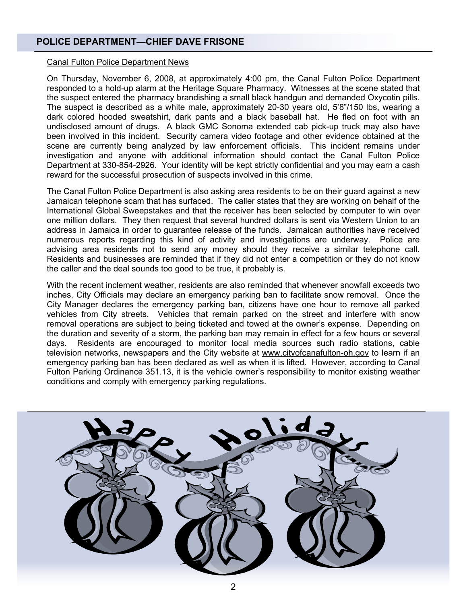### **POLICE DEPARTMENT—CHIEF DAVE FRISONE**

### Canal Fulton Police Department News

On Thursday, November 6, 2008, at approximately 4:00 pm, the Canal Fulton Police Department responded to a hold-up alarm at the Heritage Square Pharmacy. Witnesses at the scene stated that the suspect entered the pharmacy brandishing a small black handgun and demanded Oxycotin pills. The suspect is described as a white male, approximately 20-30 years old, 5'8"/150 lbs, wearing a dark colored hooded sweatshirt, dark pants and a black baseball hat. He fled on foot with an undisclosed amount of drugs. A black GMC Sonoma extended cab pick-up truck may also have been involved in this incident. Security camera video footage and other evidence obtained at the scene are currently being analyzed by law enforcement officials. This incident remains under investigation and anyone with additional information should contact the Canal Fulton Police Department at 330-854-2926. Your identity will be kept strictly confidential and you may earn a cash reward for the successful prosecution of suspects involved in this crime.

The Canal Fulton Police Department is also asking area residents to be on their guard against a new Jamaican telephone scam that has surfaced. The caller states that they are working on behalf of the International Global Sweepstakes and that the receiver has been selected by computer to win over one million dollars. They then request that several hundred dollars is sent via Western Union to an address in Jamaica in order to guarantee release of the funds. Jamaican authorities have received numerous reports regarding this kind of activity and investigations are underway. Police are advising area residents not to send any money should they receive a similar telephone call. Residents and businesses are reminded that if they did not enter a competition or they do not know the caller and the deal sounds too good to be true, it probably is.

With the recent inclement weather, residents are also reminded that whenever snowfall exceeds two inches, City Officials may declare an emergency parking ban to facilitate snow removal. Once the City Manager declares the emergency parking ban, citizens have one hour to remove all parked vehicles from City streets. Vehicles that remain parked on the street and interfere with snow removal operations are subject to being ticketed and towed at the owner's expense. Depending on the duration and severity of a storm, the parking ban may remain in effect for a few hours or several days. Residents are encouraged to monitor local media sources such radio stations, cable television networks, newspapers and the City website at www.cityofcanafulton-oh.gov to learn if an emergency parking ban has been declared as well as when it is lifted. However, according to Canal Fulton Parking Ordinance 351.13, it is the vehicle owner's responsibility to monitor existing weather conditions and comply with emergency parking regulations.

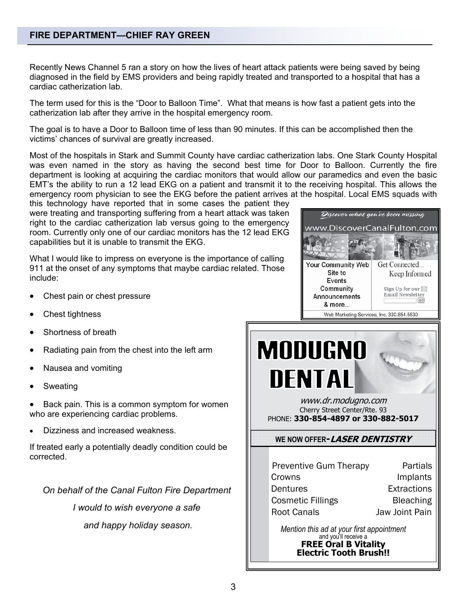### **FIRE DEPARTMENT—CHIEF RAY GREEN**

Recently News Channel 5 ran a story on how the lives of heart attack patients were being saved by being diagnosed in the field by EMS providers and being rapidly treated and transported to a hospital that has a cardiac catherization lab.

The term used for this is the "Door to Balloon Time". What that means is how fast a patient gets into the catherization lab after they arrive in the hospital emergency room.

The goal is to have a Door to Balloon time of less than 90 minutes. If this can be accomplished then the victims' chances of survival are greatly increased.

Most of the hospitals in Stark and Summit County have cardiac catherization labs. One Stark County Hospital was even named in the story as having the second best time for Door to Balloon. Currently the fire department is looking at acquiring the cardiac monitors that would allow our paramedics and even the basic EMT's the ability to run a 12 lead EKG on a patient and transmit it to the receiving hospital. This allows the emergency room physician to see the EKG before the patient arrives at the hospital. Local EMS squads with

this technology have reported that in some cases the patient they were treating and transporting suffering from a heart attack was taken right to the cardiac catherization lab versus going to the emergency room. Currently only one of our cardiac monitors has the 12 lead EKG capabilities but it is unable to transmit the EKG.

What I would like to impress on everyone is the importance of calling 911 at the onset of any symptoms that maybe cardiac related. Those include:

- Chest pain or chest pressure
- Chest tightness
- Shortness of breath
- Radiating pain from the chest into the left arm
- Nausea and vomiting
- **Sweating**

Back pain. This is a common symptom for women who are experiencing cardiac problems.

• Dizziness and increased weakness.

If treated early a potentially deadly condition could be corrected.

*On behalf of the Canal Fulton Fire Department* 

*I would to wish everyone a safe* 

 *and happy holiday season.* 



| <b>Preventive Gum Therapy</b> | Partials         |
|-------------------------------|------------------|
| Crowns                        | Implants         |
| Dentures                      | Extractions      |
| <b>Cosmetic Fillings</b>      | <b>Bleaching</b> |
| <b>Root Canals</b>            | Jaw Joint Pain   |

*Mention this ad at your first appointment*<br>and you'll receive a **FREE Oral B Vitality Electric Tooth Brush!!**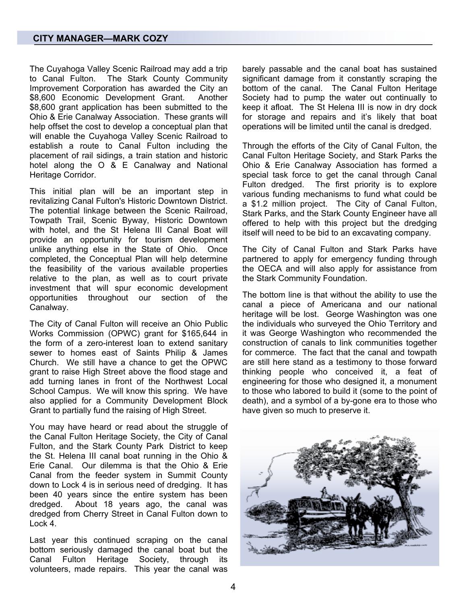The Cuyahoga Valley Scenic Railroad may add a trip to Canal Fulton. The Stark County Community Improvement Corporation has awarded the City an \$8,600 Economic Development Grant. Another \$8,600 grant application has been submitted to the Ohio & Erie Canalway Association. These grants will help offset the cost to develop a conceptual plan that will enable the Cuyahoga Valley Scenic Railroad to establish a route to Canal Fulton including the placement of rail sidings, a train station and historic hotel along the O & E Canalway and National Heritage Corridor.

This initial plan will be an important step in revitalizing Canal Fulton's Historic Downtown District. The potential linkage between the Scenic Railroad, Towpath Trail, Scenic Byway, Historic Downtown with hotel, and the St Helena III Canal Boat will provide an opportunity for tourism development unlike anything else in the State of Ohio. Once completed, the Conceptual Plan will help determine the feasibility of the various available properties relative to the plan, as well as to court private investment that will spur economic development<br>opportunities throughout our section of the opportunities throughout our Canalway.

The City of Canal Fulton will receive an Ohio Public Works Commission (OPWC) grant for \$165,644 in the form of a zero-interest loan to extend sanitary sewer to homes east of Saints Philip & James Church. We still have a chance to get the OPWC grant to raise High Street above the flood stage and add turning lanes in front of the Northwest Local School Campus. We will know this spring. We have also applied for a Community Development Block Grant to partially fund the raising of High Street.

You may have heard or read about the struggle of the Canal Fulton Heritage Society, the City of Canal Fulton, and the Stark County Park District to keep the St. Helena III canal boat running in the Ohio & Erie Canal. Our dilemma is that the Ohio & Erie Canal from the feeder system in Summit County down to Lock 4 is in serious need of dredging. It has been 40 years since the entire system has been dredged. About 18 years ago, the canal was dredged from Cherry Street in Canal Fulton down to Lock 4.

Last year this continued scraping on the canal bottom seriously damaged the canal boat but the Canal Fulton Heritage Society, through its volunteers, made repairs. This year the canal was barely passable and the canal boat has sustained significant damage from it constantly scraping the bottom of the canal. The Canal Fulton Heritage Society had to pump the water out continually to keep it afloat. The St Helena III is now in dry dock for storage and repairs and it's likely that boat operations will be limited until the canal is dredged.

Through the efforts of the City of Canal Fulton, the Canal Fulton Heritage Society, and Stark Parks the Ohio & Erie Canalway Association has formed a special task force to get the canal through Canal Fulton dredged. The first priority is to explore various funding mechanisms to fund what could be a \$1.2 million project. The City of Canal Fulton, Stark Parks, and the Stark County Engineer have all offered to help with this project but the dredging itself will need to be bid to an excavating company.

The City of Canal Fulton and Stark Parks have partnered to apply for emergency funding through the OECA and will also apply for assistance from the Stark Community Foundation.

The bottom line is that without the ability to use the canal a piece of Americana and our national heritage will be lost. George Washington was one the individuals who surveyed the Ohio Territory and it was George Washington who recommended the construction of canals to link communities together for commerce. The fact that the canal and towpath are still here stand as a testimony to those forward thinking people who conceived it, a feat of engineering for those who designed it, a monument to those who labored to build it (some to the point of death), and a symbol of a by-gone era to those who have given so much to preserve it.

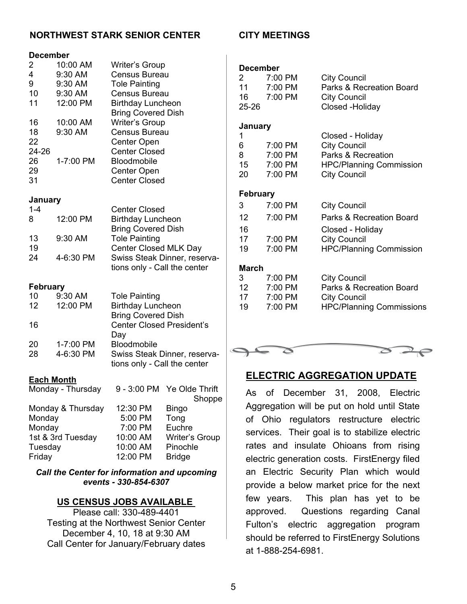### **NORTHWEST STARK SENIOR CENTER CITY MEETINGS**

### **December**

| $\overline{c}$                                  | 10:00 AM           | <b>Writer's Group</b>                                        |
|-------------------------------------------------|--------------------|--------------------------------------------------------------|
| 4                                               | 9:30 AM            | <b>Census Bureau</b>                                         |
| 9<br>10                                         | 9:30 AM<br>9:30 AM | <b>Tole Painting</b><br><b>Census Bureau</b>                 |
| 11                                              | 12:00 PM           |                                                              |
|                                                 |                    | <b>Birthday Luncheon</b><br><b>Bring Covered Dish</b>        |
| 16                                              | 10:00 AM           | <b>Writer's Group</b>                                        |
| 18                                              | 9:30 AM            | <b>Census Bureau</b>                                         |
| 22                                              |                    | Center Open                                                  |
| 24-26                                           |                    | <b>Center Closed</b>                                         |
| 26                                              | 1-7:00 PM          | Bloodmobile                                                  |
| 29                                              |                    | Center Open                                                  |
| 31                                              |                    | <b>Center Closed</b>                                         |
| January                                         |                    |                                                              |
| $1 - 4$                                         |                    | <b>Center Closed</b>                                         |
| 8                                               | 12:00 PM           | <b>Birthday Luncheon</b>                                     |
|                                                 |                    | <b>Bring Covered Dish</b>                                    |
| 13                                              | 9:30 AM            | <b>Tole Painting</b>                                         |
| 19                                              |                    | Center Closed MLK Day                                        |
| 24                                              | 4-6:30 PM          | Swiss Steak Dinner, reserva-                                 |
|                                                 |                    | tions only - Call the center                                 |
| <b>February</b>                                 |                    |                                                              |
| 10                                              | 9:30 AM            | <b>Tole Painting</b>                                         |
| 12                                              | 12:00 PM           | <b>Birthday Luncheon</b>                                     |
|                                                 |                    | <b>Bring Covered Dish</b>                                    |
| 16                                              |                    | <b>Center Closed President's</b>                             |
|                                                 |                    | Day                                                          |
| 20                                              | 1-7:00 PM          | Bloodmobile                                                  |
| 28                                              | 4-6:30 PM          | Swiss Steak Dinner, reserva-<br>tions only - Call the center |
|                                                 |                    |                                                              |
| <b>Each Month</b>                               |                    |                                                              |
| Monday - Thursday<br>9 - 3:00 PM Ye Olde Thrift |                    |                                                              |
|                                                 |                    | <b>Shonne</b>                                                |

|                   |          | Shoppe         |
|-------------------|----------|----------------|
| Monday & Thursday | 12:30 PM | <b>Bingo</b>   |
| Monday            | 5:00 PM  | Tong           |
| Monday            | 7:00 PM  | Euchre         |
| 1st & 3rd Tuesday | 10:00 AM | Writer's Group |
| Tuesday           | 10:00 AM | Pinochle       |
| Friday            | 12:00 PM | <b>Bridge</b>  |
|                   |          |                |

### *Call the Center for information and upcoming events - 330-854-6307*

### **US CENSUS JOBS AVAILABLE**

Please call: 330-489-4401 Testing at the Northwest Senior Center December 4, 10, 18 at 9:30 AM Call Center for January/February dates

| December                 |                    |                                                 |
|--------------------------|--------------------|-------------------------------------------------|
| $\mathbf{2}^-$<br>$11 -$ | 7:00 PM<br>7:00 PM | <b>City Council</b><br>Parks & Recreation Board |
| 16                       | 7:00 PM            | <b>City Council</b>                             |
| 25-26                    |                    | Closed -Holiday                                 |
|                          |                    |                                                 |
| January                  |                    |                                                 |
| 1<br>6                   | 7:00 PM            | Closed - Holiday<br><b>City Council</b>         |
| 8                        | 7:00 PM            | Parks & Recreation                              |
| 15 <sub>1</sub>          | 7:00 PM            | <b>HPC/Planning Commission</b>                  |
| 20                       | 7:00 PM            | <b>City Council</b>                             |
|                          |                    |                                                 |
| February                 |                    |                                                 |
| 3                        | 7:00 PM            | <b>City Council</b>                             |
| 12                       | 7:00 PM            | <b>Parks &amp; Recreation Board</b>             |
| 16                       |                    | Closed - Holiday                                |
| 17                       | 7:00 PM            | <b>City Council</b>                             |
| 19                       | 7:00 PM            | <b>HPC/Planning Commission</b>                  |
|                          |                    |                                                 |
| March                    |                    |                                                 |
| 3                        | 7:00 PM            | <b>City Council</b>                             |
| 12 <sup>12</sup>         | 7:00 PM            | Parks & Recreation Board                        |
| 17<br>19                 | 7:00 PM<br>7:00 PM | <b>City Council</b>                             |
|                          |                    | <b>HPC/Planning Commissions</b>                 |
|                          |                    |                                                 |
|                          |                    |                                                 |



### **ELECTRIC AGGREGATION UPDATE**

As of December 31, 2008, Electric Aggregation will be put on hold until State of Ohio regulators restructure electric services. Their goal is to stabilize electric rates and insulate Ohioans from rising electric generation costs. FirstEnergy filed an Electric Security Plan which would provide a below market price for the next few years. This plan has yet to be approved. Questions regarding Canal Fulton's electric aggregation program should be referred to FirstEnergy Solutions at 1-888-254-6981.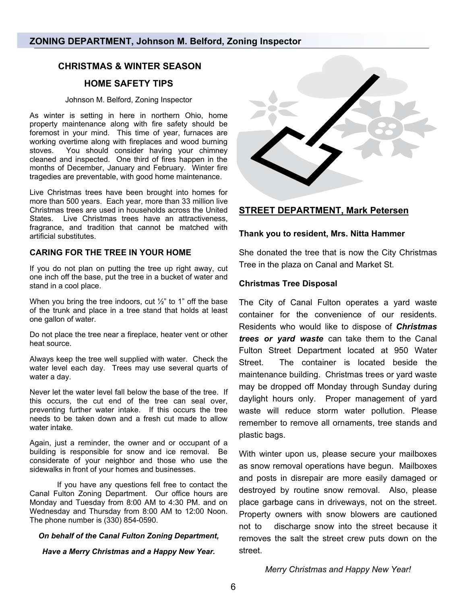### **CHRISTMAS & WINTER SEASON**

### **HOME SAFETY TIPS**

### Johnson M. Belford, Zoning Inspector

As winter is setting in here in northern Ohio, home property maintenance along with fire safety should be foremost in your mind. This time of year, furnaces are working overtime along with fireplaces and wood burning stoves. You should consider having your chimney cleaned and inspected. One third of fires happen in the months of December, January and February. Winter fire tragedies are preventable, with good home maintenance.

Live Christmas trees have been brought into homes for more than 500 years. Each year, more than 33 million live Christmas trees are used in households across the United States. Live Christmas trees have an attractiveness, fragrance, and tradition that cannot be matched with artificial substitutes.

### **CARING FOR THE TREE IN YOUR HOME**

If you do not plan on putting the tree up right away, cut one inch off the base, put the tree in a bucket of water and stand in a cool place.

When you bring the tree indoors, cut  $\frac{1}{2}$ " to 1" off the base of the trunk and place in a tree stand that holds at least one gallon of water.

Do not place the tree near a fireplace, heater vent or other heat source.

Always keep the tree well supplied with water. Check the water level each day. Trees may use several quarts of water a day.

Never let the water level fall below the base of the tree. If this occurs, the cut end of the tree can seal over, preventing further water intake. If this occurs the tree needs to be taken down and a fresh cut made to allow water intake.

Again, just a reminder, the owner and or occupant of a building is responsible for snow and ice removal. Be considerate of your neighbor and those who use the sidewalks in front of your homes and businesses.

 If you have any questions fell free to contact the Canal Fulton Zoning Department. Our office hours are Monday and Tuesday from 8:00 AM to 4:30 PM. and on Wednesday and Thursday from 8:00 AM to 12:00 Noon. The phone number is (330) 854-0590.

### *On behalf of the Canal Fulton Zoning Department,*

*Have a Merry Christmas and a Happy New Year.* 



### **STREET DEPARTMENT, Mark Petersen**

### **Thank you to resident, Mrs. Nitta Hammer**

She donated the tree that is now the City Christmas Tree in the plaza on Canal and Market St.

### **Christmas Tree Disposal**

The City of Canal Fulton operates a yard waste container for the convenience of our residents. Residents who would like to dispose of *Christmas trees or yard waste* can take them to the Canal Fulton Street Department located at 950 Water Street. The container is located beside the maintenance building. Christmas trees or yard waste may be dropped off Monday through Sunday during daylight hours only. Proper management of yard waste will reduce storm water pollution. Please remember to remove all ornaments, tree stands and plastic bags.

With winter upon us, please secure your mailboxes as snow removal operations have begun. Mailboxes and posts in disrepair are more easily damaged or destroyed by routine snow removal. Also, please place garbage cans in driveways, not on the street. Property owners with snow blowers are cautioned not to discharge snow into the street because it removes the salt the street crew puts down on the street.

*Merry Christmas and Happy New Year!*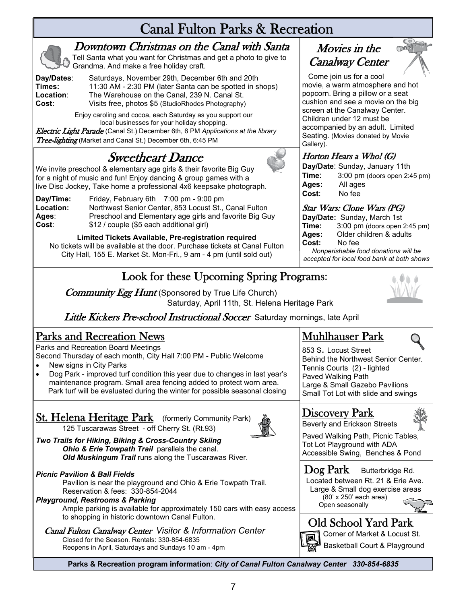# Canal Fulton Parks & Recreation



## Downtown Christmas on the Canal with Santa

Tell Santa what you want for Christmas and get a photo to give to Grandma. And make a free holiday craft.

**Day/Dates**: Saturdays, November 29th, December 6th and 20th **Times:** 11:30 AM - 2:30 PM (later Santa can be spotted in shops)<br>**Location:** The Warehouse on the Canal. 239 N. Canal St. **Location:** The Warehouse on the Canal, 239 N. Canal St.<br> **Cost:** Visits free. photos \$5 (StudioRhodes Photography) **Cost:** Visits free, photos \$5 (StudioRhodes Photography)

> Enjoy caroling and cocoa, each Saturday as you support our local businesses for your holiday shopping.

Electric Light Parade (Canal St.) December 6th, 6 PM *Applications at the library*  Tree-lighting (Market and Canal St.) December 6th, 6:45 PM

# Sweetheart Dance

We invite preschool & elementary age girls & their favorite Big Guy for a night of music and fun! Enjoy dancing & group games with a live Disc Jockey, Take home a professional 4x6 keepsake photograph.

**Day/Time:** Friday, February 6th 7:00 pm - 9:00 pm<br>**Location:** Northwest Senior Center, 853 Locust St., **Location:** Northwest Senior Center, 853 Locust St., Canal Fulton<br>**Ages:** Preschool and Elementary age girls and favorite Big Gu **Ages:** Preschool and Elementary age girls and favorite Big Guy<br>Cost: \$12 / couple (\$5 each additional girl) **Cost**: \$12 / couple (\$5 each additional girl)

**Limited Tickets Available, Pre-registration required**  No tickets will be available at the door. Purchase tickets at Canal Fulton City Hall, 155 E. Market St. Mon-Fri., 9 am - 4 pm (until sold out)

# Look for these Upcoming Spring Programs:

**Community Egg Hunt** (Sponsored by True Life Church) Saturday, April 11th, St. Helena Heritage Park



Little Kickers Pre-school Instructional Soccer Saturday mornings, late April

## Parks and Recreation News

Parks and Recreation Board Meetings Second Thursday of each month, City Hall 7:00 PM - Public Welcome

- New signs in City Parks
- Dog Park improved turf condition this year due to changes in last year's maintenance program. Small area fencing added to protect worn area. Park turf will be evaluated during the winter for possible seasonal closing

# **St. Helena Heritage Park** (formerly Community Park)

125 Tuscarawas Street - off Cherry St. (Rt.93)



*Two Trails for Hiking, Biking & Cross-Country Skiing Ohio & Erie Towpath Trail* parallels the canal.  *Old Muskingum Trail* runs along the Tuscarawas River.

### *Picnic Pavilion & Ball Fields*

 Pavilion is near the playground and Ohio & Erie Towpath Trail. Reservation & fees: 330-854-2044

### *Playground, Restrooms & Parking*

Ample parking is available for approximately 150 cars with easy access to shopping in historic downtown Canal Fulton.

# Canal Fulton Canalway Center *Visitor & Information Center* Closed for the Season. Rentals: 330-854-6835

Reopens in April, Saturdays and Sundays 10 am - 4pm

### Dog Park Butterbridge Rd. Located between Rt. 21 & Erie Ave. Large & Small dog exercise areas

# Old School Yard Park

 (80' x 250' each area) Open seasonally

Muhlhauser Park 853 S. Locust Street

Movies in the Canalway Center

Come join us for a cool

Gallery).

movie, a warm atmosphere and hot popcorn. Bring a pillow or a seat cushion and see a movie on the big screen at the Canalway Center. Children under 12 must be

accompanied by an adult. Limited Seating. (Movies donated by Movie

**Time**: 3:00 pm (doors open 2:45 pm)<br>**Ages:** All ages

**Time:** 3:00 pm (doors open 2:45 pm)<br>**Ages:** Older children & adults Ages: Older children & adults<br>Cost: No fee **Cost:** No fee

*Nonperishable food donations will be accepted for local food bank at both shows* 

Horton Hears <sup>a</sup> Who! (G) **Day/Date**: Sunday, January 11th

**Ages:** All ages

Star Wars: Clone Wars (PG) **Day/Date:** Sunday, March 1st<br>**Time:** 3:00 pm (doors open)

**Cost**: No fee

Tennis Courts (2) - lighted Paved Walking Path

Discovery Park

Beverly and Erickson Streets Paved Walking Path, Picnic Tables, Tot Lot Playground with ADA Accessible Swing, Benches & Pond

Behind the Northwest Senior Center.

Large & Small Gazebo Pavilions Small Tot Lot with slide and swings



Corner of Market & Locust St. Basketball Court & Playground

**Parks & Recreation program information**: *City of Canal Fulton Canalway Center 330-854-6835*